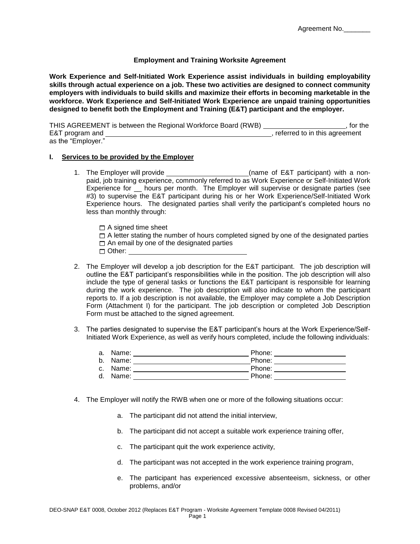## **Employment and Training Worksite Agreement**

**Work Experience and Self-Initiated Work Experience assist individuals in building employability skills through actual experience on a job. These two activities are designed to connect community employers with individuals to build skills and maximize their efforts in becoming marketable in the workforce. Work Experience and Self-Initiated Work Experience are unpaid training opportunities designed to benefit both the Employment and Training (E&T) participant and the employer.** 

THIS AGREEMENT is between the Regional Workforce Board (RWB) **Fig. 2016**, for the E&T program and  $\overline{a}$  , referred to in this agreement as the "Employer."

## **I. Services to be provided by the Employer**

- 1. The Employer will provide \_\_\_\_\_\_\_\_\_\_\_\_\_\_\_\_\_\_\_\_\_\_\_\_\_(name of E&T participant) with a nonpaid, job training experience, commonly referred to as Work Experience or Self-Initiated Work Experience for \_\_ hours per month. The Employer will supervise or designate parties (see #3) to supervise the E&T participant during his or her Work Experience/Self-Initiated Work Experience hours. The designated parties shall verify the participant's completed hours no less than monthly through:
	- $\Box$  A signed time sheet
	- $\Box$  A letter stating the number of hours completed signed by one of the designated parties
	- $\Box$  An email by one of the designated parties
	- □ Other:
- 2. The Employer will develop a job description for the E&T participant. The job description will outline the E&T participant's responsibilities while in the position. The job description will also include the type of general tasks or functions the E&T participant is responsible for learning during the work experience. The job description will also indicate to whom the participant reports to. If a job description is not available, the Employer may complete a Job Description Form (Attachment I) for the participant. The job description or completed Job Description Form must be attached to the signed agreement.
- 3. The parties designated to supervise the E&T participant's hours at the Work Experience/Self-Initiated Work Experience, as well as verify hours completed, include the following individuals:

| a. Name: | Phone: |
|----------|--------|
| b. Name: | Phone: |
| c. Name: | Phone: |
| d. Name: | Phone: |

- 
- 4. The Employer will notify the RWB when one or more of the following situations occur:
	- a. The participant did not attend the initial interview,
	- b. The participant did not accept a suitable work experience training offer,
	- c. The participant quit the work experience activity,
	- d. The participant was not accepted in the work experience training program,
	- e. The participant has experienced excessive absenteeism, sickness, or other problems, and/or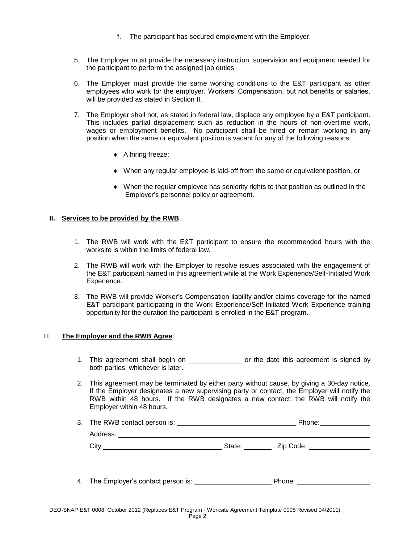- f. The participant has secured employment with the Employer.
- 5. The Employer must provide the necessary instruction, supervision and equipment needed for the participant to perform the assigned job duties.
- 6. The Employer must provide the same working conditions to the E&T participant as other employees who work for the employer. Workers' Compensation, but not benefits or salaries, will be provided as stated in Section II.
- 7. The Employer shall not, as stated in federal law, displace any employee by a E&T participant. This includes partial displacement such as reduction in the hours of non-overtime work, wages or employment benefits. No participant shall be hired or remain working in any position when the same or equivalent position is vacant for any of the following reasons:
	- ◆ A hiring freeze;
	- When any regular employee is laid-off from the same or equivalent position, or
	- When the regular employee has seniority rights to that position as outlined in the Employer's personnel policy or agreement.

## **II. Services to be provided by the RWB**

- 1. The RWB will work with the E&T participant to ensure the recommended hours with the worksite is within the limits of federal law.
- 2. The RWB will work with the Employer to resolve issues associated with the engagement of the E&T participant named in this agreement while at the Work Experience/Self-Initiated Work Experience.
- 3. The RWB will provide Worker's Compensation liability and/or claims coverage for the named E&T participant participating in the Work Experience/Self-Initiated Work Experience training opportunity for the duration the participant is enrolled in the E&T program.

## III. **The Employer and the RWB Agree**:

Address:

- 1. This agreement shall begin on \_\_\_\_\_\_\_\_\_\_\_\_\_\_\_\_ or the date this agreement is signed by both parties, whichever is later.
- 2. This agreement may be terminated by either party without cause, by giving a 30-day notice. If the Employer designates a new supervising party or contact, the Employer will notify the RWB within 48 hours. If the RWB designates a new contact, the RWB will notify the Employer within 48 hours.
- 3. The RWB contact person is: <u>Phone: Phone:</u> Phone: Phone: Phone: Phone: Phone: Phone: Phone: Phone: Phone: Phone: Phone: Phone: Phone: Phone: Phone: Phone: Phone: Phone: Phone: Phone: Phone: Phone: Phone: Phone: Phone: P

| , , , , , , , , , , , , , , , |  |
|-------------------------------|--|
| $\sim$<br>۰.,<br>◡៲៶          |  |

4. The Employer's contact person is: Phone: